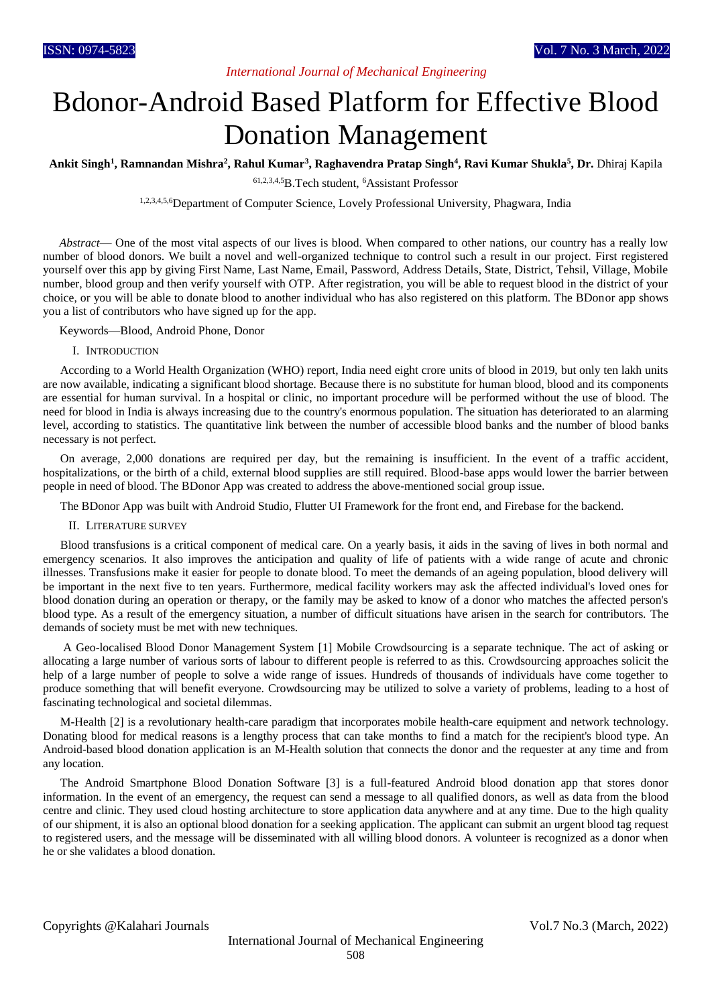## *International Journal of Mechanical Engineering*

# Bdonor-Android Based Platform for Effective Blood Donation Management

**Ankit Singh<sup>1</sup> , Ramnandan Mishra<sup>2</sup> , Rahul Kumar<sup>3</sup> , Raghavendra Pratap Singh<sup>4</sup> , Ravi Kumar Shukla<sup>5</sup> , Dr.** Dhiraj Kapila

61,2,3,4,5B.Tech student, <sup>6</sup>Assistant Professor

1,2,3,4,5,6Department of Computer Science, Lovely Professional University, Phagwara, India

*Abstract*— One of the most vital aspects of our lives is blood. When compared to other nations, our country has a really low number of blood donors. We built a novel and well-organized technique to control such a result in our project. First registered yourself over this app by giving First Name, Last Name, Email, Password, Address Details, State, District, Tehsil, Village, Mobile number, blood group and then verify yourself with OTP. After registration, you will be able to request blood in the district of your choice, or you will be able to donate blood to another individual who has also registered on this platform. The BDonor app shows you a list of contributors who have signed up for the app.

Keywords—Blood, Android Phone, Donor

#### I. INTRODUCTION

According to a World Health Organization (WHO) report, India need eight crore units of blood in 2019, but only ten lakh units are now available, indicating a significant blood shortage. Because there is no substitute for human blood, blood and its components are essential for human survival. In a hospital or clinic, no important procedure will be performed without the use of blood. The need for blood in India is always increasing due to the country's enormous population. The situation has deteriorated to an alarming level, according to statistics. The quantitative link between the number of accessible blood banks and the number of blood banks necessary is not perfect.

On average, 2,000 donations are required per day, but the remaining is insufficient. In the event of a traffic accident, hospitalizations, or the birth of a child, external blood supplies are still required. Blood-base apps would lower the barrier between people in need of blood. The BDonor App was created to address the above-mentioned social group issue.

The BDonor App was built with Android Studio, Flutter UI Framework for the front end, and Firebase for the backend.

#### II. LITERATURE SURVEY

Blood transfusions is a critical component of medical care. On a yearly basis, it aids in the saving of lives in both normal and emergency scenarios. It also improves the anticipation and quality of life of patients with a wide range of acute and chronic illnesses. Transfusions make it easier for people to donate blood. To meet the demands of an ageing population, blood delivery will be important in the next five to ten years. Furthermore, medical facility workers may ask the affected individual's loved ones for blood donation during an operation or therapy, or the family may be asked to know of a donor who matches the affected person's blood type. As a result of the emergency situation, a number of difficult situations have arisen in the search for contributors. The demands of society must be met with new techniques.

A Geo-localised Blood Donor Management System [1] Mobile Crowdsourcing is a separate technique. The act of asking or allocating a large number of various sorts of labour to different people is referred to as this. Crowdsourcing approaches solicit the help of a large number of people to solve a wide range of issues. Hundreds of thousands of individuals have come together to produce something that will benefit everyone. Crowdsourcing may be utilized to solve a variety of problems, leading to a host of fascinating technological and societal dilemmas.

M-Health [2] is a revolutionary health-care paradigm that incorporates mobile health-care equipment and network technology. Donating blood for medical reasons is a lengthy process that can take months to find a match for the recipient's blood type. An Android-based blood donation application is an M-Health solution that connects the donor and the requester at any time and from any location.

The Android Smartphone Blood Donation Software [3] is a full-featured Android blood donation app that stores donor information. In the event of an emergency, the request can send a message to all qualified donors, as well as data from the blood centre and clinic. They used cloud hosting architecture to store application data anywhere and at any time. Due to the high quality of our shipment, it is also an optional blood donation for a seeking application. The applicant can submit an urgent blood tag request to registered users, and the message will be disseminated with all willing blood donors. A volunteer is recognized as a donor when he or she validates a blood donation.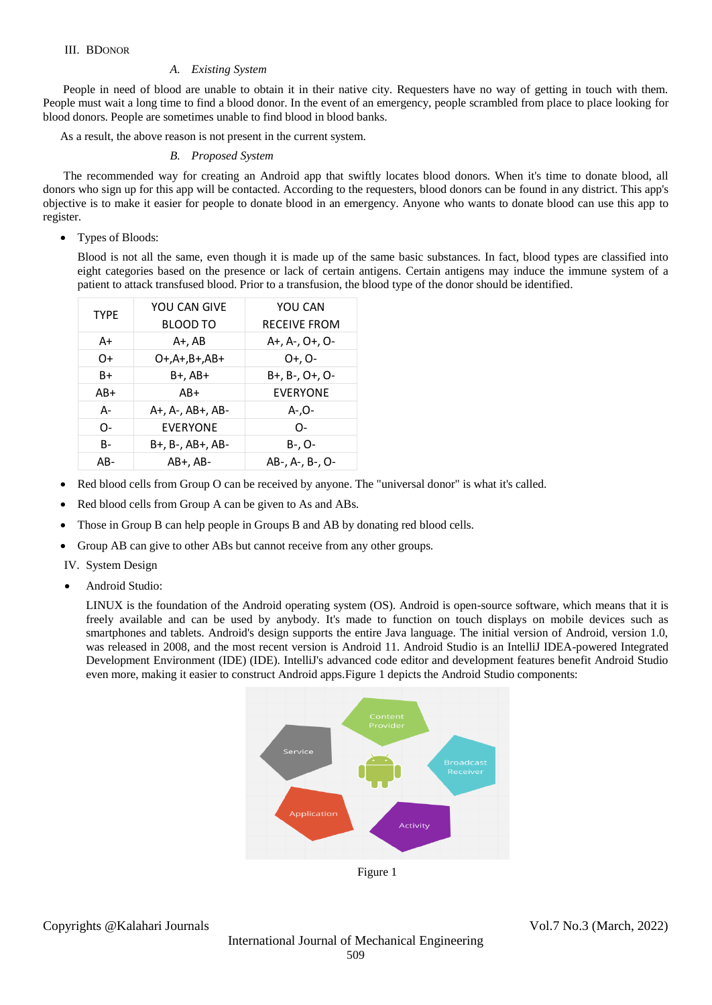## *A. Existing System*

People in need of blood are unable to obtain it in their native city. Requesters have no way of getting in touch with them. People must wait a long time to find a blood donor. In the event of an emergency, people scrambled from place to place looking for blood donors. People are sometimes unable to find blood in blood banks.

As a result, the above reason is not present in the current system.

## *B. Proposed System*

 The recommended way for creating an Android app that swiftly locates blood donors. When it's time to donate blood, all donors who sign up for this app will be contacted. According to the requesters, blood donors can be found in any district. This app's objective is to make it easier for people to donate blood in an emergency. Anyone who wants to donate blood can use this app to register.

Types of Bloods:

Blood is not all the same, even though it is made up of the same basic substances. In fact, blood types are classified into eight categories based on the presence or lack of certain antigens. Certain antigens may induce the immune system of a patient to attack transfused blood. Prior to a transfusion, the blood type of the donor should be identified.

| <b>TYPE</b> | YOU CAN GIVE     | YOU CAN             |
|-------------|------------------|---------------------|
|             | <b>BLOOD TO</b>  | <b>RECEIVE FROM</b> |
| A+          | A+, AB           | A+, A-, O+, O-      |
| 0+          | 0+,A+,B+,AB+     | O+. O-              |
| B+          | B+, AB+          | B+, B-, O+, O-      |
| AB+         | AB+              | <b>EVERYONE</b>     |
| А-          | A+, A-, AB+, AB- | -O,-A               |
| O-          | <b>EVERYONE</b>  | $\Omega$            |
| B-          | B+, B-, AB+, AB- | B-, O-              |
| AB-         | AB+. AB-         | AB-, A-, B-, O-     |

- Red blood cells from Group O can be received by anyone. The "universal donor" is what it's called.
- Red blood cells from Group A can be given to As and ABs.
- Those in Group B can help people in Groups B and AB by donating red blood cells.
- Group AB can give to other ABs but cannot receive from any other groups.
- IV. System Design
- Android Studio:

LINUX is the foundation of the Android operating system (OS). Android is open-source software, which means that it is freely available and can be used by anybody. It's made to function on touch displays on mobile devices such as smartphones and tablets. Android's design supports the entire Java language. The initial version of Android, version 1.0, was released in 2008, and the most recent version is Android 11. Android Studio is an IntelliJ IDEA-powered Integrated Development Environment (IDE) (IDE). IntelliJ's advanced code editor and development features benefit Android Studio even more, making it easier to construct Android apps.Figure 1 depicts the Android Studio components:

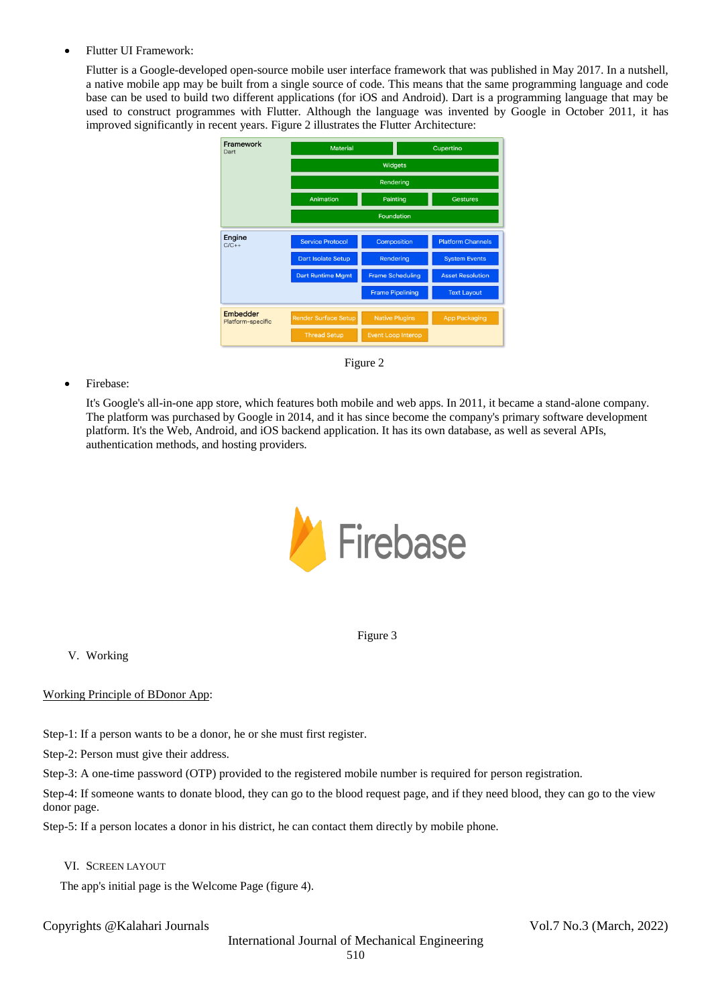## Flutter UI Framework:

Flutter is a Google-developed open-source mobile user interface framework that was published in May 2017. In a nutshell, a native mobile app may be built from a single source of code. This means that the same programming language and code base can be used to build two different applications (for iOS and Android). Dart is a programming language that may be used to construct programmes with Flutter. Although the language was invented by Google in October 2011, it has improved significantly in recent years. Figure 2 illustrates the Flutter Architecture:



Figure 2

## Firebase:

It's Google's all-in-one app store, which features both mobile and web apps. In 2011, it became a stand-alone company. The platform was purchased by Google in 2014, and it has since become the company's primary software development platform. It's the Web, Android, and iOS backend application. It has its own database, as well as several APIs, authentication methods, and hosting providers.



Figure 3

V. Working

Working Principle of BDonor App:

Step-1: If a person wants to be a donor, he or she must first register.

Step-2: Person must give their address.

Step-3: A one-time password (OTP) provided to the registered mobile number is required for person registration.

Step-4: If someone wants to donate blood, they can go to the blood request page, and if they need blood, they can go to the view donor page.

Step-5: If a person locates a donor in his district, he can contact them directly by mobile phone.

VI. SCREEN LAYOUT

The app's initial page is the Welcome Page (figure 4).

Copyrights @Kalahari Journals Vol.7 No.3 (March, 2022)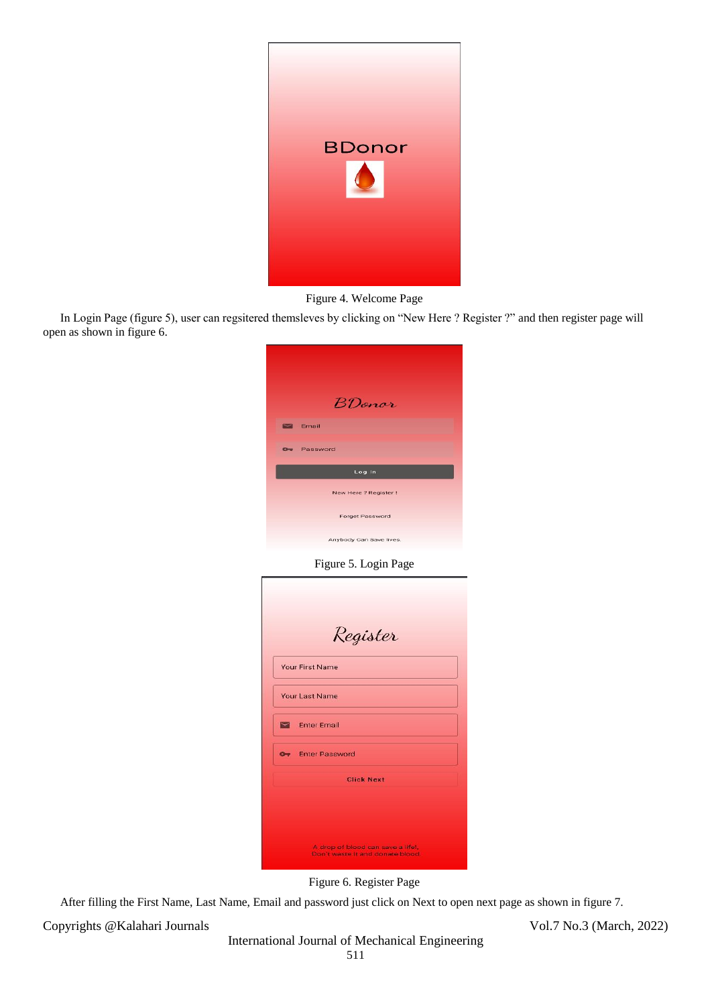

## Figure 4. Welcome Page

In Login Page (figure 5), user can regsitered themsleves by clicking on "New Here ? Register ?" and then register page will open as shown in figure 6.

Figure 5. Login Page

|   | Your First Name       |
|---|-----------------------|
|   | Your Last Name        |
|   | <b>Enter Email</b>    |
| æ | <b>Enter Password</b> |
|   | <b>Click Next</b>     |

Figure 6. Register Page

After filling the First Name, Last Name, Email and password just click on Next to open next page as shown in figure 7.

Copyrights @Kalahari Journals Vol.7 No.3 (March, 2022)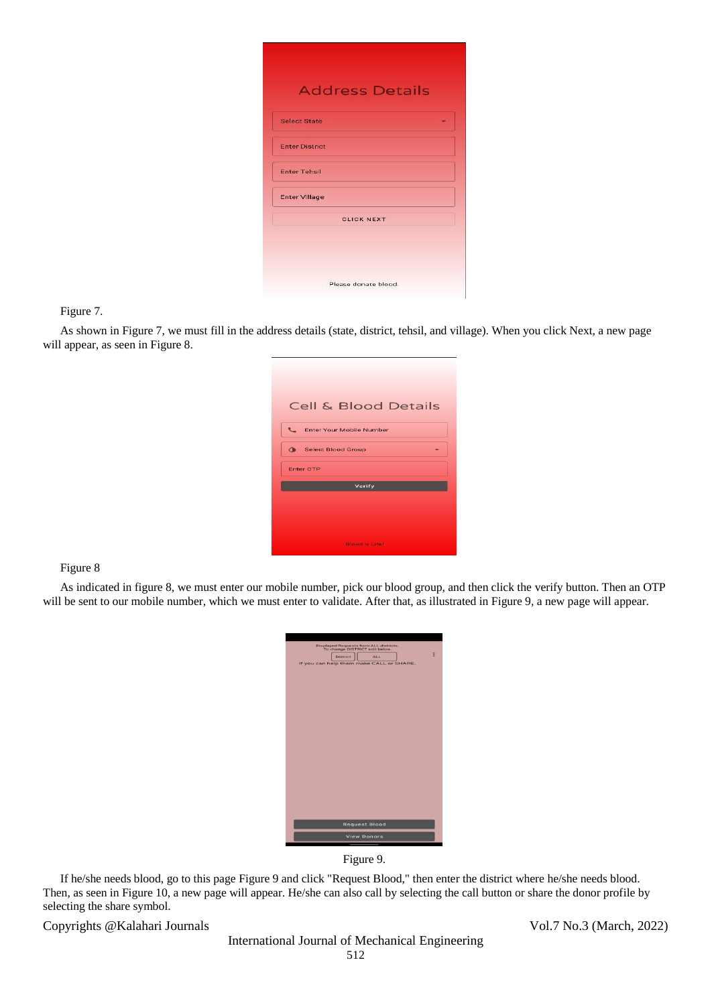| <b>Select State</b>   |                   |  |
|-----------------------|-------------------|--|
| <b>Enter District</b> |                   |  |
| <b>Enter Tehsil</b>   |                   |  |
| <b>Enter Village</b>  |                   |  |
|                       | <b>CLICK NEXT</b> |  |

#### Figure 7.

As shown in Figure 7, we must fill in the address details (state, district, tehsil, and village). When you click Next, a new page will appear, as seen in Figure 8.

| <b>Cell &amp; Blood Details</b>          |
|------------------------------------------|
| ₹<br>Enter Your Mobile Number            |
| $\triangle$<br><b>Select Blood Group</b> |
| <b>Enter OTP</b>                         |
| Verify                                   |
|                                          |
|                                          |
| <b>Blood is Life!</b>                    |

## Figure 8

As indicated in figure 8, we must enter our mobile number, pick our blood group, and then click the verify button. Then an OTP will be sent to our mobile number, which we must enter to validate. After that, as illustrated in Figure 9, a new page will appear.

| Displayed Requests from ALL districts.<br>To change DISTRICT edit below. |
|--------------------------------------------------------------------------|
| E<br><b>District</b><br>ALL                                              |
| If you can help them make CALL or SHARE.                                 |
|                                                                          |
|                                                                          |
|                                                                          |
|                                                                          |
|                                                                          |
|                                                                          |
|                                                                          |
|                                                                          |
|                                                                          |
|                                                                          |
|                                                                          |
|                                                                          |
|                                                                          |
|                                                                          |
|                                                                          |
|                                                                          |
|                                                                          |
|                                                                          |
|                                                                          |
| <b>Request Blood</b>                                                     |
| <b>View Donors</b>                                                       |
| ___<br>٠                                                                 |



If he/she needs blood, go to this page Figure 9 and click "Request Blood," then enter the district where he/she needs blood. Then, as seen in Figure 10, a new page will appear. He/she can also call by selecting the call button or share the donor profile by selecting the share symbol.

Copyrights @Kalahari Journals Vol.7 No.3 (March, 2022)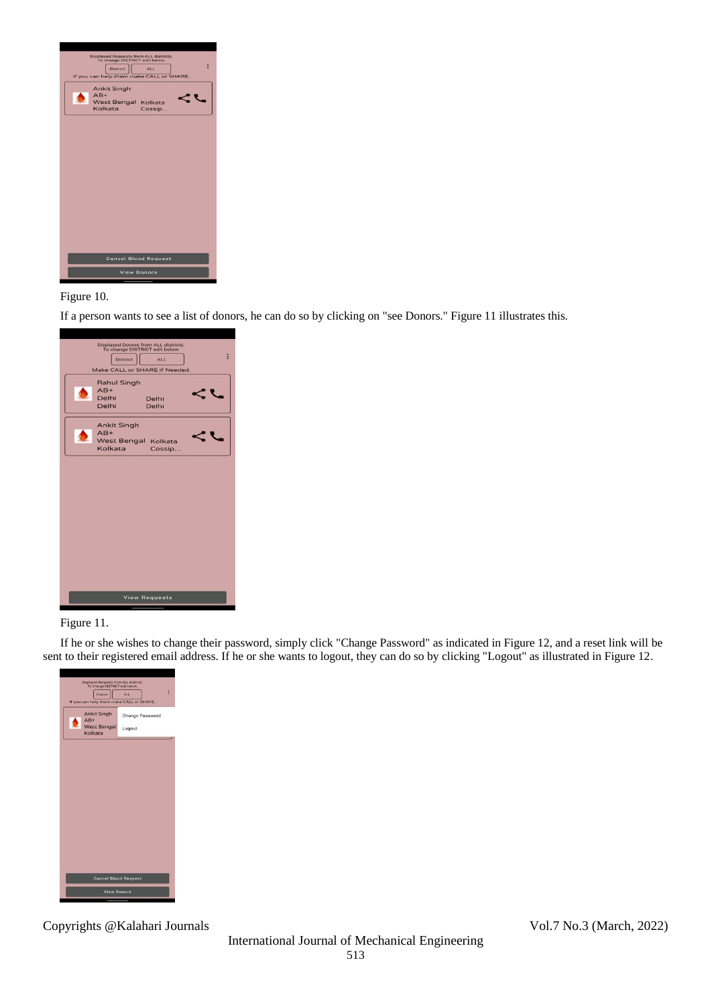

## Figure 10.

If a person wants to see a list of donors, he can do so by clicking on "see Donors." Figure 11 illustrates this.

| Displayed Donors from ALL districts.<br>To change DISTRICT edit below.<br>ž<br><b>District</b><br>ALL<br>Make CALL or SHARE if Needed. |
|----------------------------------------------------------------------------------------------------------------------------------------|
| <b>Rahul Singh</b><br>$AB+$<br>Delhi<br>Delhi<br>Delhi<br>Delhi                                                                        |
| <b>Ankit Singh</b><br>$AB+$<br>West Bengal Kolkata<br>Kolkata<br>Cossip                                                                |
|                                                                                                                                        |
|                                                                                                                                        |
|                                                                                                                                        |
| <b>View Requests</b>                                                                                                                   |
|                                                                                                                                        |

## Figure 11.

If he or she wishes to change their password, simply click "Change Password" as indicated in Figure 12, and a reset link will be sent to their registered email address. If he or she wants to logout, they can do so by clicking "Logout" as illustrated in Figure 12.



Copyrights @Kalahari Journals Vol.7 No.3 (March, 2022)